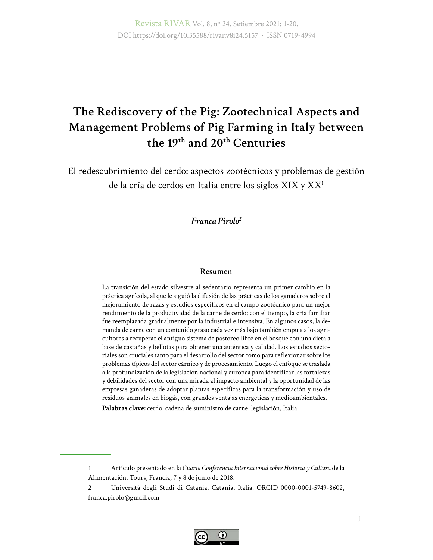Revista RIVAR Vol. 8, nº 24. Setiembre 2021: 1-20. DOI https://doi.org/10.35588/rivar.v8i24.5157 · ISSN 0719-4994

# **The Rediscovery of the Pig: Zootechnical Aspects and Management Problems of Pig Farming in Italy between the 19th and 20th Centuries**

El redescubrimiento del cerdo: aspectos zootécnicos y problemas de gestión de la cría de cerdos en Italia entre los siglos XIX y XX1

*Franca Pirolo2*

#### **Resumen**

La transición del estado silvestre al sedentario representa un primer cambio en la práctica agrícola, al que le siguió la difusión de las prácticas de los ganaderos sobre el mejoramiento de razas y estudios específicos en el campo zootécnico para un mejor rendimiento de la productividad de la carne de cerdo; con el tiempo, la cría familiar fue reemplazada gradualmente por la industrial e intensiva. En algunos casos, la demanda de carne con un contenido graso cada vez más bajo también empuja a los agricultores a recuperar el antiguo sistema de pastoreo libre en el bosque con una dieta a base de castañas y bellotas para obtener una auténtica y calidad. Los estudios sectoriales son cruciales tanto para el desarrollo del sector como para reflexionar sobre los problemas típicos del sector cárnico y de procesamiento. Luego el enfoque se traslada a la profundización de la legislación nacional y europea para identificar las fortalezas y debilidades del sector con una mirada al impacto ambiental y la oportunidad de las empresas ganaderas de adoptar plantas específicas para la transformación y uso de residuos animales en biogás, con grandes ventajas energéticas y medioambientales.

**Palabras clave:** cerdo, cadena de suministro de carne, legislación, Italia.

<sup>2</sup> Università degli Studi di Catania, Catania, Italia, ORCID 0000-0001-5749-8602, [franca.pirolo@gmail.com](mailto:franca.pirolo@gmail.com)



<sup>1</sup> Artículo presentado en la *Cuarta Conferencia Internacional sobre Historia y Cultura* de la Alimentación. Tours, Francia, 7 y 8 de junio de 2018.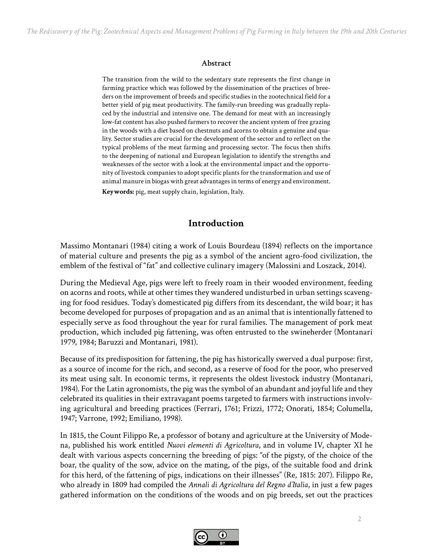#### **Abstract**

The transition from the wild to the sedentary state represents the first change in farming practice which was followed by the dissemination of the practices of breeders on the improvement of breeds and specific studies in the zootechnical field for a better yield of pig meat productivity. The family-run breeding was gradually replaced by the industrial and intensive one. The demand for meat with an increasingly low-fat content has also pushed farmers to recover the ancient system of free grazing in the woods with a diet based on chestnuts and acorns to obtain a genuine and quality. Sector studies are crucial for the development of the sector and to reflect on the typical problems of the meat farming and processing sector. The focus then shifts to the deepening of national and European legislation to identify the strengths and weaknesses of the sector with a look at the environmental impact and the opportunity of livestock companies to adopt specific plants for the transformation and use of animal manure in biogas with great advantages in terms of energy and environment. **Keywords:** pig, meat supply chain, legislation, Italy.

### **Introduction**

Massimo Montanari (1984) citing a work of Louis Bourdeau (1894) reflects on the importance of material culture and presents the pig as a symbol of the ancient agro-food civilization, the emblem of the festival of "fat" and collective culinary imagery (Malossini and Loszack, 2014).

During the Medieval Age, pigs were left to freely roam in their wooded environment, feeding on acorns and roots, while at other times they wandered undisturbed in urban settings scavenging for food residues. Today's domesticated pig differs from its descendant, the wild boar; it has become developed for purposes of propagation and as an animal that is intentionally fattened to especially serve as food throughout the year for rural families. The management of pork meat production, which included pig fattening, was often entrusted to the swineherder (Montanari 1979, 1984; Baruzzi and Montanari, 1981).

Because of its predisposition for fattening, the pig has historically swerved a dual purpose: first, as a source of income for the rich, and second, as a reserve of food for the poor, who preserved its meat using salt. In economic terms, it represents the oldest livestock industry (Montanari, 1984). For the Latin agronomists, the pig was the symbol of an abundant and joyful life and they celebrated its qualities in their extravagant poems targeted to farmers with instructions involving agricultural and breeding practices (Ferrari, 1761; Frizzi, 1772; Onorati, 1854; Columella, 1947; Varrone, 1992; Emiliano, 1998).

In 1815, the Count Filippo Re, a professor of botany and agriculture at the University of Modena, published his work entitled *Nuovi elementi di Agricoltura*, and in volume IV, chapter XI he dealt with various aspects concerning the breeding of pigs: "of the pigsty, of the choice of the boar, the quality of the sow, advice on the mating, of the pigs, of the suitable food and drink for this herd, of the fattening of pigs, indications on their illnesses" (Re, 1815: 207). Filippo Re, who already in 1809 had compiled the *Annali di Agricoltura del Regno d'Italia*, in just a few pages gathered information on the conditions of the woods and on pig breeds, set out the practices

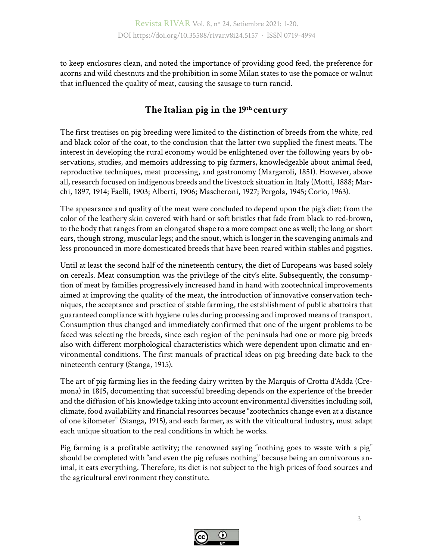to keep enclosures clean, and noted the importance of providing good feed, the preference for acorns and wild chestnuts and the prohibition in some Milan states to use the pomace or walnut that influenced the quality of meat, causing the sausage to turn rancid.

# **The Italian pig in the 19th century**

The first treatises on pig breeding were limited to the distinction of breeds from the white, red and black color of the coat, to the conclusion that the latter two supplied the finest meats. The interest in developing the rural economy would be enlightened over the following years by observations, studies, and memoirs addressing to pig farmers, knowledgeable about animal feed, reproductive techniques, meat processing, and gastronomy (Margaroli, 1851). However, above all, research focused on indigenous breeds and the livestock situation in Italy (Motti, 1888; Marchi, 1897, 1914; Faelli, 1903; Alberti, 1906; Mascheroni, 1927; Pergola, 1945; Corio, 1963).

The appearance and quality of the meat were concluded to depend upon the pig's diet: from the color of the leathery skin covered with hard or soft bristles that fade from black to red-brown, to the body that ranges from an elongated shape to a more compact one as well; the long or short ears, though strong, muscular legs; and the snout, which is longer in the scavenging animals and less pronounced in more domesticated breeds that have been reared within stables and pigsties.

Until at least the second half of the nineteenth century, the diet of Europeans was based solely on cereals. Meat consumption was the privilege of the city's elite. Subsequently, the consumption of meat by families progressively increased hand in hand with zootechnical improvements aimed at improving the quality of the meat, the introduction of innovative conservation techniques, the acceptance and practice of stable farming, the establishment of public abattoirs that guaranteed compliance with hygiene rules during processing and improved means of transport. Consumption thus changed and immediately confirmed that one of the urgent problems to be faced was selecting the breeds, since each region of the peninsula had one or more pig breeds also with different morphological characteristics which were dependent upon climatic and environmental conditions. The first manuals of practical ideas on pig breeding date back to the nineteenth century (Stanga, 1915).

The art of pig farming lies in the feeding dairy written by the Marquis of Crotta d'Adda (Cremona) in 1815, documenting that successful breeding depends on the experience of the breeder and the diffusion of his knowledge taking into account environmental diversities including soil, climate, food availability and financial resources because "zootechnics change even at a distance of one kilometer" (Stanga, 1915), and each farmer, as with the viticultural industry, must adapt each unique situation to the real conditions in which he works.

Pig farming is a profitable activity; the renowned saying "nothing goes to waste with a pig" should be completed with "and even the pig refuses nothing" because being an omnivorous animal, it eats everything. Therefore, its diet is not subject to the high prices of food sources and the agricultural environment they constitute.

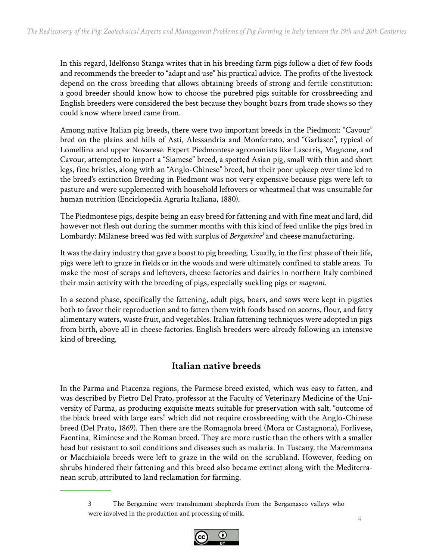In this regard, Idelfonso Stanga writes that in his breeding farm pigs follow a diet of few foods and recommends the breeder to "adapt and use" his practical advice. The profits of the livestock depend on the cross breeding that allows obtaining breeds of strong and fertile constitution: a good breeder should know how to choose the purebred pigs suitable for crossbreeding and English breeders were considered the best because they bought boars from trade shows so they could know where breed came from.

Among native Italian pig breeds, there were two important breeds in the Piedmont: "Cavour" bred on the plains and hills of Asti, Alessandria and Monferrato, and "Garlasco", typical of Lomellina and upper Novarese. Expert Piedmontese agronomists like Lascaris, Magnone, and Cavour, attempted to import a "Siamese" breed, a spotted Asian pig, small with thin and short legs, fine bristles, along with an "Anglo-Chinese" breed, but their poor upkeep over time led to the breed's extinction Breeding in Piedmont was not very expensive because pigs were left to pasture and were supplemented with household leftovers or wheatmeal that was unsuitable for human nutrition (Enciclopedia Agraria Italiana, 1880).

The Piedmontese pigs, despite being an easy breed for fattening and with fine meat and lard, did however not flesh out during the summer months with this kind of feed unlike the pigs bred in Lombardy: Milanese breed was fed with surplus of *Bergamine<sup>3</sup>* and cheese manufacturing.

It was the dairy industry that gave a boost to pig breeding. Usually, in the first phase of their life, pigs were left to graze in fields or in the woods and were ultimately confined to stable areas. To make the most of scraps and leftovers, cheese factories and dairies in northern Italy combined their main activity with the breeding of pigs, especially suckling pigs or *magroni*.

In a second phase, specifically the fattening, adult pigs, boars, and sows were kept in pigsties both to favor their reproduction and to fatten them with foods based on acorns, flour, and fatty alimentary waters, waste fruit, and vegetables. Italian fattening techniques were adopted in pigs from birth, above all in cheese factories. English breeders were already following an intensive kind of breeding.

# **Italian native breeds**

In the Parma and Piacenza regions, the Parmese breed existed, which was easy to fatten, and was described by Pietro Del Prato, professor at the Faculty of Veterinary Medicine of the University of Parma, as producing exquisite meats suitable for preservation with salt, "outcome of the black breed with large ears" which did not require crossbreeding with the Anglo-Chinese breed (Del Prato, 1869). Then there are the Romagnola breed (Mora or Castagnona), Forlivese, Faentina, Riminese and the Roman breed. They are more rustic than the others with a smaller head but resistant to soil conditions and diseases such as malaria. In Tuscany, the Maremmana or Macchiaiola breeds were left to graze in the wild on the scrubland. However, feeding on shrubs hindered their fattening and this breed also became extinct along with the Mediterranean scrub, attributed to land reclamation for farming.

<sup>3</sup> The Bergamine were transhumant shepherds from the Bergamasco valleys who were involved in the production and processing of milk.

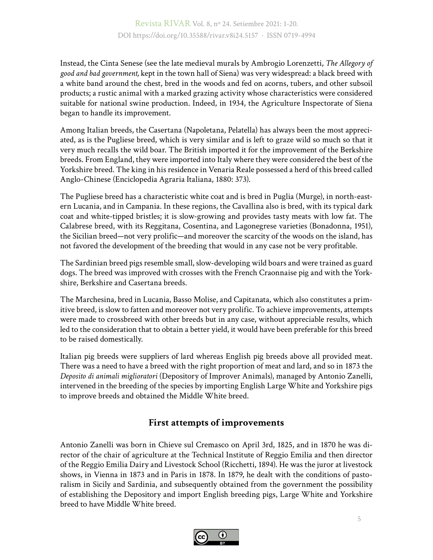Instead, the Cinta Senese (see the late medieval murals by Ambrogio Lorenzetti, *The Allegory of good and bad government,* kept in the town hall of Siena) was very widespread: a black breed with a white band around the chest, bred in the woods and fed on acorns, tubers, and other subsoil products; a rustic animal with a marked grazing activity whose characteristics were considered suitable for national swine production. Indeed, in 1934, the Agriculture Inspectorate of Siena began to handle its improvement.

Among Italian breeds, the Casertana (Napoletana, Pelatella) has always been the most appreciated, as is the Pugliese breed, which is very similar and is left to graze wild so much so that it very much recalls the wild boar. The British imported it for the improvement of the Berkshire breeds. From England, they were imported into Italy where they were considered the best of the Yorkshire breed. The king in his residence in Venaria Reale possessed a herd of this breed called Anglo-Chinese (Enciclopedia Agraria Italiana, 1880: 373).

The Pugliese breed has a characteristic white coat and is bred in Puglia (Murge), in north-eastern Lucania, and in Campania. In these regions, the Cavallina also is bred, with its typical dark coat and white-tipped bristles; it is slow-growing and provides tasty meats with low fat. The Calabrese breed, with its Reggitana, Cosentina, and Lagonegrese varieties (Bonadonna, 1951), the Sicilian breed—not very prolific—and moreover the scarcity of the woods on the island, has not favored the development of the breeding that would in any case not be very profitable.

The Sardinian breed pigs resemble small, slow-developing wild boars and were trained as guard dogs. The breed was improved with crosses with the French Craonnaise pig and with the Yorkshire, Berkshire and Casertana breeds.

The Marchesina*,* bred in Lucania, Basso Molise, and Capitanata, which also constitutes a primitive breed, is slow to fatten and moreover not very prolific. To achieve improvements, attempts were made to crossbreed with other breeds but in any case, without appreciable results, which led to the consideration that to obtain a better yield, it would have been preferable for this breed to be raised domestically.

Italian pig breeds were suppliers of lard whereas English pig breeds above all provided meat. There was a need to have a breed with the right proportion of meat and lard, and so in 1873 the *Deposito di animali miglioratori* (Depository of Improver Animals), managed by Antonio Zanelli, intervened in the breeding of the species by importing English Large White and Yorkshire pigs to improve breeds and obtained the Middle White breed.

### **First attempts of improvements**

Antonio Zanelli was born in Chieve sul Cremasco on April 3rd, 1825, and in 1870 he was director of the chair of agriculture at the Technical Institute of Reggio Emilia and then director of the Reggio Emilia Dairy and Livestock School (Ricchetti, 1894). He was the juror at livestock shows, in Vienna in 1873 and in Paris in 1878. In 1879, he dealt with the conditions of pastoralism in Sicily and Sardinia, and subsequently obtained from the government the possibility of establishing the Depository and import English breeding pigs, Large White and Yorkshire breed to have Middle White breed.

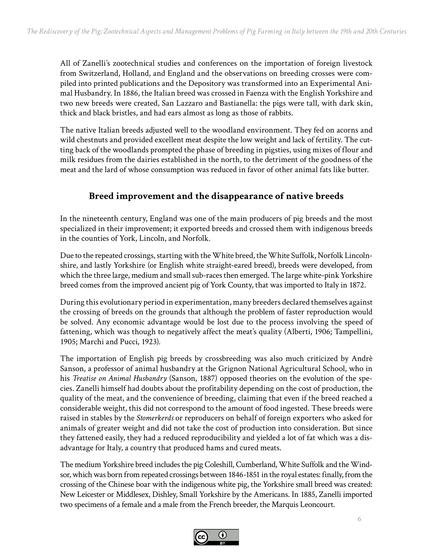All of Zanelli's zootechnical studies and conferences on the importation of foreign livestock from Switzerland, Holland, and England and the observations on breeding crosses were compiled into printed publications and the Depository was transformed into an Experimental Animal Husbandry. In 1886, the Italian breed was crossed in Faenza with the English Yorkshire and two new breeds were created, San Lazzaro and Bastianella: the pigs were tall, with dark skin, thick and black bristles, and had ears almost as long as those of rabbits.

The native Italian breeds adjusted well to the woodland environment. They fed on acorns and wild chestnuts and provided excellent meat despite the low weight and lack of fertility. The cutting back of the woodlands prompted the phase of breeding in pigsties, using mixes of flour and milk residues from the dairies established in the north, to the detriment of the goodness of the meat and the lard of whose consumption was reduced in favor of other animal fats like butter.

#### **Breed improvement and the disappearance of native breeds**

In the nineteenth century, England was one of the main producers of pig breeds and the most specialized in their improvement; it exported breeds and crossed them with indigenous breeds in the counties of York, Lincoln, and Norfolk*.*

Due to the repeated crossings, starting with the White breed, the White Suffolk, Norfolk Lincolnshire, and lastly Yorkshire (or English white straight-eared breed), breeds were developed, from which the three large, medium and small sub-races then emerged. The large white-pink Yorkshire breed comes from the improved ancient pig of York County, that was imported to Italy in 1872.

During this evolutionary period in experimentation, many breeders declared themselves against the crossing of breeds on the grounds that although the problem of faster reproduction would be solved. Any economic advantage would be lost due to the process involving the speed of fattening, which was though to negatively affect the meat's quality (Alberti, 1906; Tampellini, 1905; Marchi and Pucci, 1923).

The importation of English pig breeds by crossbreeding was also much criticized by Andrè Sanson, a professor of animal husbandry at the Grignon National Agricultural School, who in his *Treatise on Animal Husbandry* (Sanson, 1887) opposed theories on the evolution of the species. Zanelli himself had doubts about the profitability depending on the cost of production, the quality of the meat, and the convenience of breeding, claiming that even if the breed reached a considerable weight, this did not correspond to the amount of food ingested. These breeds were raised in stables by the *Stomerkerds* or reproducers on behalf of foreign exporters who asked for animals of greater weight and did not take the cost of production into consideration. But since they fattened easily, they had a reduced reproducibility and yielded a lot of fat which was a disadvantage for Italy, a country that produced hams and cured meats.

The medium Yorkshire breed includes the pig Coleshill, Cumberland, White Suffolk and the Windsor, which was born from repeated crossings between 1846-1851 in the royal estates: finally, from the crossing of the Chinese boar with the indigenous white pig, the Yorkshire small breed was created: New Leicester or Middlesex, Dishley, Small Yorkshire by the Americans. In 1885, Zanelli imported two specimens of a female and a male from the French breeder, the Marquis Leoncourt.

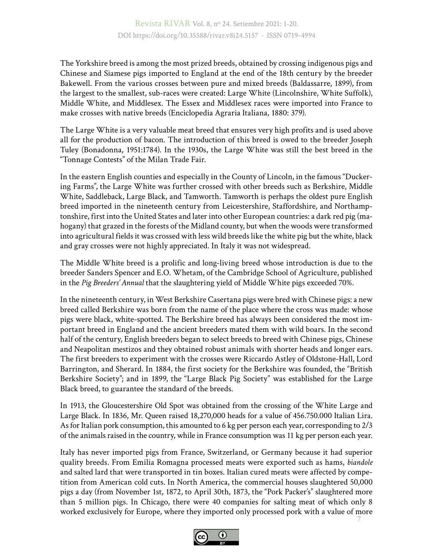The Yorkshire breed is among the most prized breeds, obtained by crossing indigenous pigs and Chinese and Siamese pigs imported to England at the end of the 18th century by the breeder Bakewell. From the various crosses between pure and mixed breeds (Baldassarre, 1899), from the largest to the smallest, sub-races were created: Large White (Lincolnshire, White Suffolk), Middle White, and Middlesex. The Essex and Middlesex races were imported into France to make crosses with native breeds (Enciclopedia Agraria Italiana, 1880: 379).

The Large White is a very valuable meat breed that ensures very high profits and is used above all for the production of bacon. The introduction of this breed is owed to the breeder Joseph Tuley (Bonadonna, 1951:1784). In the 1930s, the Large White was still the best breed in the "Tonnage Contests" of the Milan Trade Fair.

In the eastern English counties and especially in the County of Lincoln, in the famous "Duckering Farms", the Large White was further crossed with other breeds such as Berkshire, Middle White, Saddleback, Large Black, and Tamworth. Tamworth is perhaps the oldest pure English breed imported in the nineteenth century from Leicestershire, Staffordshire, and Northamptonshire, first into the United States and later into other European countries: a dark red pig (mahogany) that grazed in the forests of the Midland county, but when the woods were transformed into agricultural fields it was crossed with less wild breeds like the white pig but the white, black and gray crosses were not highly appreciated. In Italy it was not widespread.

The Middle White breed is a prolific and long-living breed whose introduction is due to the breeder Sanders Spencer and E.O. Whetam, of the Cambridge School of Agriculture, published in the *Pig Breeders' Annual* that the slaughtering yield of Middle White pigs exceeded 70%.

In the nineteenth century, in West Berkshire Casertana pigs were bred with Chinese pigs: a new breed called Berkshire was born from the name of the place where the cross was made: whose pigs were black, white-spotted. The Berkshire breed has always been considered the most important breed in England and the ancient breeders mated them with wild boars. In the second half of the century, English breeders began to select breeds to breed with Chinese pigs, Chinese and Neapolitan mestizos and they obtained robust animals with shorter heads and longer ears. The first breeders to experiment with the crosses were Riccardo Astley of Oldstone-Hall, Lord Barrington, and Sherard. In 1884, the first society for the Berkshire was founded, the "British Berkshire Society"; and in 1899, the "Large Black Pig Society" was established for the Large Black breed, to guarantee the standard of the breeds.

In 1913, the Gloucestershire Old Spot was obtained from the crossing of the White Large and Large Black. In 1836, Mr. Queen raised 18,270,000 heads for a value of 456.750.000 Italian Lira. As for Italian pork consumption, this amounted to 6 kg per person each year, corresponding to 2/3 of the animals raised in the country, while in France consumption was 11 kg per person each year.

7 Italy has never imported pigs from France, Switzerland, or Germany because it had superior quality breeds. From Emilia Romagna processed meats were exported such as hams, *biandole* and salted lard that were transported in tin boxes. Italian cured meats were affected by competition from American cold cuts. In North America, the commercial houses slaughtered 50,000 pigs a day (from November 1st, 1872, to April 30th, 1873, the "Pork Packer's" slaughtered more than 5 million pigs. In Chicago, there were 40 companies for salting meat of which only 8 worked exclusively for Europe, where they imported only processed pork with a value of more

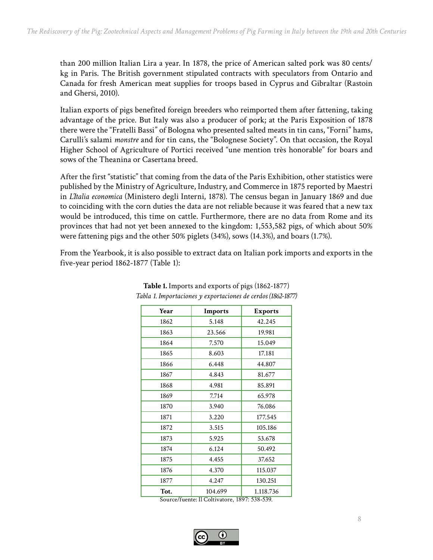than 200 million Italian Lira a year. In 1878, the price of American salted pork was 80 cents/ kg in Paris. The British government stipulated contracts with speculators from Ontario and Canada for fresh American meat supplies for troops based in Cyprus and Gibraltar (Rastoin and Ghersi, 2010).

Italian exports of pigs benefited foreign breeders who reimported them after fattening, taking advantage of the price. But Italy was also a producer of pork; at the Paris Exposition of 1878 there were the "Fratelli Bassi" of Bologna who presented salted meats in tin cans, "Forni" hams, Carulli's salami *monstre* and for tin cans, the "Bolognese Society". On that occasion, the Royal Higher School of Agriculture of Portici received "une mention très honorable" for boars and sows of the Theanina or Casertana breed.

After the first "statistic" that coming from the data of the Paris Exhibition, other statistics were published by the Ministry of Agriculture, Industry, and Commerce in 1875 reported by Maestri in *L'Italia economica* (Ministero degli Interni, 1878). The census began in January 1869 and due to coinciding with the corn duties the data are not reliable because it was feared that a new tax would be introduced, this time on cattle. Furthermore, there are no data from Rome and its provinces that had not yet been annexed to the kingdom: 1,553,582 pigs, of which about 50% were fattening pigs and the other 50% piglets (34%), sows (14.3%), and boars (1.7%).

From the Yearbook, it is also possible to extract data on Italian pork imports and exports in the five-year period 1862-1877 (Table 1):

| Year | Imports<br><b>Exports</b> |           |  |
|------|---------------------------|-----------|--|
| 1862 | 5.148<br>42.245           |           |  |
| 1863 | 23.566                    | 19.981    |  |
| 1864 | 7.570                     | 15.049    |  |
| 1865 | 8.603                     | 17.181    |  |
| 1866 | 6.448                     | 44.807    |  |
| 1867 | 4.843                     | 81.677    |  |
| 1868 | 4.981                     | 85.891    |  |
| 1869 | 7.714                     | 65.978    |  |
| 1870 | 3.940                     | 76.086    |  |
| 1871 | 3.220                     | 177.545   |  |
| 1872 | 3.515                     | 105.186   |  |
| 1873 | 5.925                     | 53.678    |  |
| 1874 | 6.124                     | 50.492    |  |
| 1875 | 4.455                     | 37.652    |  |
| 1876 | 4.370                     | 115.037   |  |
| 1877 | 4.247                     | 130.251   |  |
| Tot. | 104.699                   | 1.118.736 |  |

#### **Table 1.** Imports and exports of pigs (1862-1877) *Tabla 1. Importaciones y exportaciones de cerdos (1862-1877)*

Source/fuente: Il Coltivatore, 1897: 538-539.

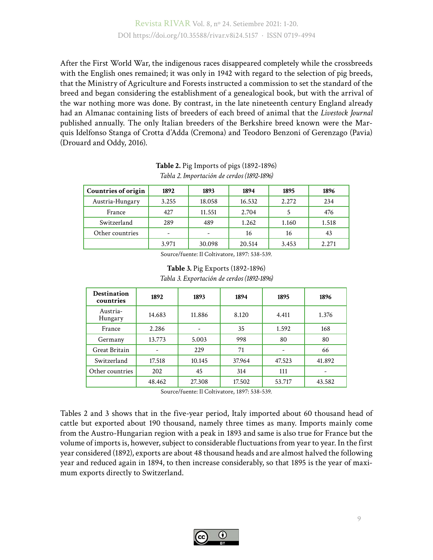After the First World War, the indigenous races disappeared completely while the crossbreeds with the English ones remained; it was only in 1942 with regard to the selection of pig breeds, that the Ministry of Agriculture and Forests instructed a commission to set the standard of the breed and began considering the establishment of a genealogical book, but with the arrival of the war nothing more was done. By contrast, in the late nineteenth century England already had an Almanac containing lists of breeders of each breed of animal that the *Livestock Journal* published annually. The only Italian breeders of the Berkshire breed known were the Marquis Idelfonso Stanga of Crotta d'Adda (Cremona) and Teodoro Benzoni of Gerenzago (Pavia) (Drouard and Oddy, 2016).

| <b>Countries of origin</b> | 1892  | 1893   | 1894   | 1895  | 1896  |
|----------------------------|-------|--------|--------|-------|-------|
| Austria-Hungary            | 3.255 | 18.058 | 16.532 | 2.272 | 234   |
| France                     | 427   | 11.551 | 2.704  |       | 476   |
| Switzerland                | 289   | 489    | 1.262  | 1.160 | 1.518 |
| Other countries            |       |        | 16     | 16    | 43    |
|                            | 3.971 | 30.098 | 20.514 | 3.453 | 2.271 |

**Table 2.** Pig Imports of pigs (1892-1896) *Tabla 2. Importación de cerdos (1892-1896)*

Source/fuente: Il Coltivatore, 1897: 538-539.

**Table 3.** Pig Exports (1892-1896) *Tabla 3. Exportación de cerdos (1892-1896)*

| <b>Destination</b><br>countries | 1892   | 1893   | 1894   | 1895   | 1896   |
|---------------------------------|--------|--------|--------|--------|--------|
| Austria-<br>Hungary             | 14.683 | 11.886 | 8.120  | 4.411  | 1.376  |
| France                          | 2.286  |        | 35     | 1.592  | 168    |
| Germany                         | 13.773 | 5.003  | 998    | 80     | 80     |
| Great Britain                   | ۰      | 229    | 71     |        | 66     |
| Switzerland                     | 17.518 | 10.145 | 37.964 | 47.523 | 41.892 |
| Other countries                 | 202    | 45     | 314    | 111    |        |
|                                 | 48.462 | 27.308 | 17.502 | 53.717 | 43.582 |

Source/fuente: Il Coltivatore, 1897: 538-539.

Tables 2 and 3 shows that in the five-year period, Italy imported about 60 thousand head of cattle but exported about 190 thousand, namely three times as many. Imports mainly come from the Austro-Hungarian region with a peak in 1893 and same is also true for France but the volume of imports is, however, subject to considerable fluctuations from year to year. In the first year considered (1892), exports are about 48 thousand heads and are almost halved the following year and reduced again in 1894, to then increase considerably, so that 1895 is the year of maximum exports directly to Switzerland.

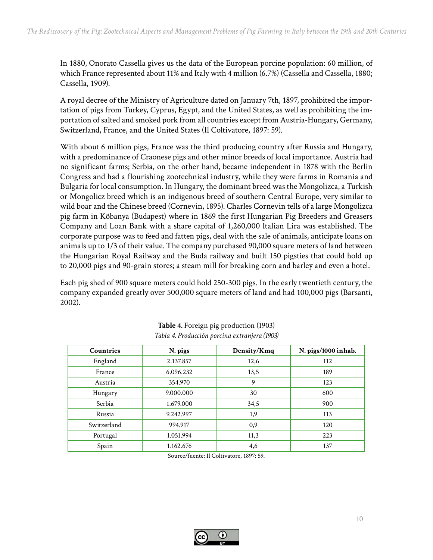In 1880, Onorato Cassella gives us the data of the European porcine population: 60 million, of which France represented about 11% and Italy with 4 million (6.7%) (Cassella and Cassella, 1880; Cassella, 1909).

A royal decree of the Ministry of Agriculture dated on January 7th, 1897, prohibited the importation of pigs from Turkey, Cyprus, Egypt, and the United States, as well as prohibiting the importation of salted and smoked pork from all countries except from Austria-Hungary, Germany, Switzerland, France, and the United States (Il Coltivatore, 1897: 59).

With about 6 million pigs, France was the third producing country after Russia and Hungary, with a predominance of Craonese pigs and other minor breeds of local importance. Austria had no significant farms; Serbia, on the other hand, became independent in 1878 with the Berlin Congress and had a flourishing zootechnical industry, while they were farms in Romania and Bulgaria for local consumption. In Hungary, the dominant breed was the Mongolizca, a Turkish or Mongolicz breed which is an indigenous breed of southern Central Europe, very similar to wild boar and the Chinese breed (Cornevin, 1895). Charles Cornevin tells of a large Mongolizca pig farm in Köbanya (Budapest) where in 1869 the first Hungarian Pig Breeders and Greasers Company and Loan Bank with a share capital of 1,260,000 Italian Lira was established. The corporate purpose was to feed and fatten pigs, deal with the sale of animals, anticipate loans on animals up to 1/3 of their value. The company purchased 90,000 square meters of land between the Hungarian Royal Railway and the Buda railway and built 150 pigsties that could hold up to 20,000 pigs and 90-grain stores; a steam mill for breaking corn and barley and even a hotel.

Each pig shed of 900 square meters could hold 250-300 pigs. In the early twentieth century, the company expanded greatly over 500,000 square meters of land and had 100,000 pigs (Barsanti, 2002).

| Countries   | N. pigs   | Density/Kmq | N. pigs/1000 inhab. |
|-------------|-----------|-------------|---------------------|
| England     | 2.137.857 | 12,6        | 112                 |
| France      | 6.096.232 | 13,5        | 189                 |
| Austria     | 354.970   | 9           | 123                 |
| Hungary     | 9.000.000 | 30          | 600                 |
| Serbia      | 1.679.000 | 34,5        | 900                 |
| Russia      | 9.242.997 | 1,9         | 113                 |
| Switzerland | 994.917   | 0,9         | 120                 |
| Portugal    | 1.051.994 | 11,3        | 223                 |
| Spain       | 1.162.676 | 4,6         | 137                 |

| Table 4. Foreign pig production (1903)        |
|-----------------------------------------------|
| Tabla 4. Producción porcina extranjera (1903) |

Source/fuente: Il Coltivatore, 1897: 59.

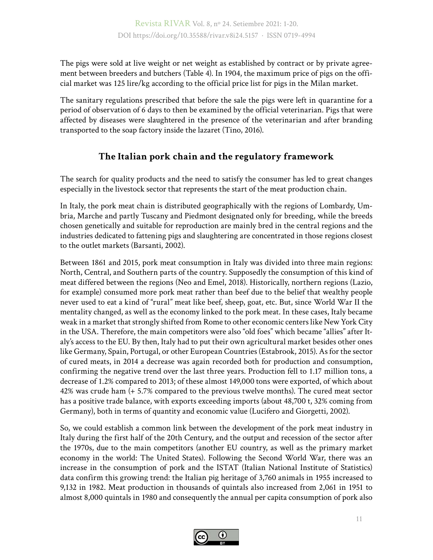The pigs were sold at live weight or net weight as established by contract or by private agreement between breeders and butchers (Table 4). In 1904, the maximum price of pigs on the official market was 125 lire/kg according to the official price list for pigs in the Milan market.

The sanitary regulations prescribed that before the sale the pigs were left in quarantine for a period of observation of 6 days to then be examined by the official veterinarian. Pigs that were affected by diseases were slaughtered in the presence of the veterinarian and after branding transported to the soap factory inside the lazaret (Tino, 2016).

# **The Italian pork chain and the regulatory framework**

The search for quality products and the need to satisfy the consumer has led to great changes especially in the livestock sector that represents the start of the meat production chain.

In Italy, the pork meat chain is distributed geographically with the regions of Lombardy, Umbria, Marche and partly Tuscany and Piedmont designated only for breeding, while the breeds chosen genetically and suitable for reproduction are mainly bred in the central regions and the industries dedicated to fattening pigs and slaughtering are concentrated in those regions closest to the outlet markets (Barsanti, 2002).

Between 1861 and 2015, pork meat consumption in Italy was divided into three main regions: North, Central, and Southern parts of the country. Supposedly the consumption of this kind of meat differed between the regions (Neo and Emel, 2018). Historically, northern regions (Lazio, for example) consumed more pork meat rather than beef due to the belief that wealthy people never used to eat a kind of "rural" meat like beef, sheep, goat, etc. But, since World War II the mentality changed, as well as the economy linked to the pork meat. In these cases, Italy became weak in a market that strongly shifted from Rome to other economic centers like New York City in the USA. Therefore, the main competitors were also "old foes" which became "allies" after Italy's access to the EU. By then, Italy had to put their own agricultural market besides other ones like Germany, Spain, Portugal, or other European Countries (Estabrook, 2015). As for the sector of cured meats, in 2014 a decrease was again recorded both for production and consumption, confirming the negative trend over the last three years. Production fell to 1.17 million tons, a decrease of 1.2% compared to 2013; of these almost 149,000 tons were exported, of which about 42% was crude ham (+ 5.7% compared to the previous twelve months). The cured meat sector has a positive trade balance, with exports exceeding imports (about 48,700 t, 32% coming from Germany), both in terms of quantity and economic value (Lucifero and Giorgetti, 2002).

So, we could establish a common link between the development of the pork meat industry in Italy during the first half of the 20th Century, and the output and recession of the sector after the 1970s, due to the main competitors (another EU country, as well as the primary market economy in the world: The United States). Following the Second World War, there was an increase in the consumption of pork and the ISTAT (Italian National Institute of Statistics) data confirm this growing trend: the Italian pig heritage of 3,760 animals in 1955 increased to 9,132 in 1982. Meat production in thousands of quintals also increased from 2,061 in 1951 to almost 8,000 quintals in 1980 and consequently the annual per capita consumption of pork also

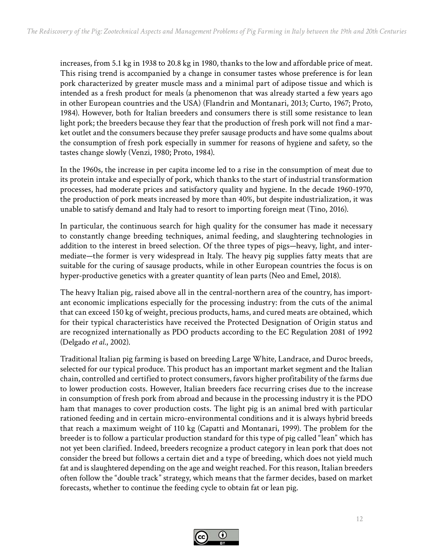increases, from 5.1 kg in 1938 to 20.8 kg in 1980, thanks to the low and affordable price of meat. This rising trend is accompanied by a change in consumer tastes whose preference is for lean pork characterized by greater muscle mass and a minimal part of adipose tissue and which is intended as a fresh product for meals (a phenomenon that was already started a few years ago in other European countries and the USA) (Flandrin and Montanari, 2013; Curto, 1967; Proto, 1984). However, both for Italian breeders and consumers there is still some resistance to lean light pork; the breeders because they fear that the production of fresh pork will not find a market outlet and the consumers because they prefer sausage products and have some qualms about the consumption of fresh pork especially in summer for reasons of hygiene and safety, so the tastes change slowly (Venzi, 1980; Proto, 1984).

In the 1960s, the increase in per capita income led to a rise in the consumption of meat due to its protein intake and especially of pork, which thanks to the start of industrial transformation processes, had moderate prices and satisfactory quality and hygiene. In the decade 1960-1970, the production of pork meats increased by more than 40%, but despite industrialization, it was unable to satisfy demand and Italy had to resort to importing foreign meat (Tino, 2016).

In particular, the continuous search for high quality for the consumer has made it necessary to constantly change breeding techniques, animal feeding, and slaughtering technologies in addition to the interest in breed selection. Of the three types of pigs—heavy, light, and intermediate—the former is very widespread in Italy. The heavy pig supplies fatty meats that are suitable for the curing of sausage products, while in other European countries the focus is on hyper-productive genetics with a greater quantity of lean parts (Neo and Emel, 2018).

The heavy Italian pig, raised above all in the central-northern area of the country, has important economic implications especially for the processing industry: from the cuts of the animal that can exceed 150 kg of weight, precious products, hams, and cured meats are obtained, which for their typical characteristics have received the Protected Designation of Origin status and are recognized internationally as PDO products according to the EC Regulation 2081 of 1992 (Delgado *et al*., 2002).

Traditional Italian pig farming is based on breeding Large White, Landrace, and Duroc breeds, selected for our typical produce. This product has an important market segment and the Italian chain, controlled and certified to protect consumers, favors higher profitability of the farms due to lower production costs. However, Italian breeders face recurring crises due to the increase in consumption of fresh pork from abroad and because in the processing industry it is the PDO ham that manages to cover production costs. The light pig is an animal bred with particular rationed feeding and in certain micro-environmental conditions and it is always hybrid breeds that reach a maximum weight of 110 kg (Capatti and Montanari, 1999). The problem for the breeder is to follow a particular production standard for this type of pig called "lean" which has not yet been clarified. Indeed, breeders recognize a product category in lean pork that does not consider the breed but follows a certain diet and a type of breeding, which does not yield much fat and is slaughtered depending on the age and weight reached. For this reason, Italian breeders often follow the "double track" strategy, which means that the farmer decides, based on market forecasts, whether to continue the feeding cycle to obtain fat or lean pig.

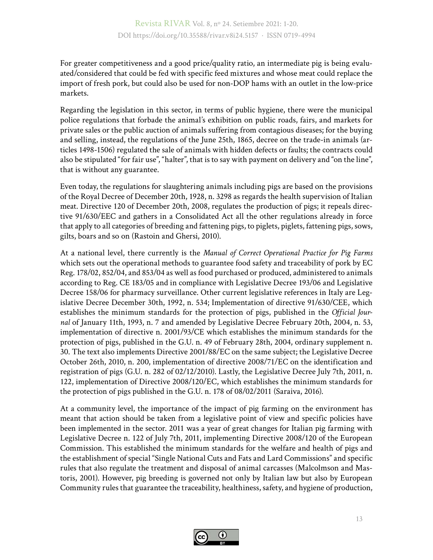For greater competitiveness and a good price/quality ratio, an intermediate pig is being evaluated/considered that could be fed with specific feed mixtures and whose meat could replace the import of fresh pork, but could also be used for non-DOP hams with an outlet in the low-price markets.

Regarding the legislation in this sector, in terms of public hygiene, there were the municipal police regulations that forbade the animal's exhibition on public roads, fairs, and markets for private sales or the public auction of animals suffering from contagious diseases; for the buying and selling, instead, the regulations of the June 25th, 1865, decree on the trade-in animals (articles 1498-1506) regulated the sale of animals with hidden defects or faults; the contracts could also be stipulated "for fair use", "halter", that is to say with payment on delivery and "on the line", that is without any guarantee.

Even today, the regulations for slaughtering animals including pigs are based on the provisions of the Royal Decree of December 20th, 1928, n. 3298 as regards the health supervision of Italian meat. Directive 120 of December 20th, 2008, regulates the production of pigs; it repeals directive 91/630/EEC and gathers in a Consolidated Act all the other regulations already in force that apply to all categories of breeding and fattening pigs, to piglets, piglets, fattening pigs, sows, gilts, boars and so on (Rastoin and Ghersi, 2010).

At a national level, there currently is the *Manual of Correct Operational Practice for Pig Farms* which sets out the operational methods to guarantee food safety and traceability of pork by EC Reg. 178/02, 852/04, and 853/04 as well as food purchased or produced, administered to animals according to Reg. CE 183/05 and in compliance with Legislative Decree 193/06 and Legislative Decree 158/06 for pharmacy surveillance. Other current legislative references in Italy are Legislative Decree December 30th, 1992, n. 534; Implementation of directive 91/630/CEE, which establishes the minimum standards for the protection of pigs, published in the *Official Journal* of January 11th, 1993, n. 7 and amended by Legislative Decree February 20th, 2004, n. 53, implementation of directive n. 2001/93/CE which establishes the minimum standards for the protection of pigs, published in the G.U. n. 49 of February 28th, 2004, ordinary supplement n. 30. The text also implements Directive 2001/88/EC on the same subject; the Legislative Decree October 26th, 2010, n. 200, implementation of directive 2008/71/EC on the identification and registration of pigs (G.U. n. 282 of 02/12/2010). Lastly, the Legislative Decree July 7th, 2011, n. 122, implementation of Directive 2008/120/EC, which establishes the minimum standards for the protection of pigs published in the G.U. n. 178 of 08/02/2011 (Saraiva, 2016).

At a community level, the importance of the impact of pig farming on the environment has meant that action should be taken from a legislative point of view and specific policies have been implemented in the sector. 2011 was a year of great changes for Italian pig farming with Legislative Decree n. 122 of July 7th, 2011, implementing Directive 2008/120 of the European Commission. This established the minimum standards for the welfare and health of pigs and the establishment of special "Single National Cuts and Fats and Lard Commissions" and specific rules that also regulate the treatment and disposal of animal carcasses (Malcolmson and Mastoris, 2001). However, pig breeding is governed not only by Italian law but also by European Community rules that guarantee the traceability, healthiness, safety, and hygiene of production,

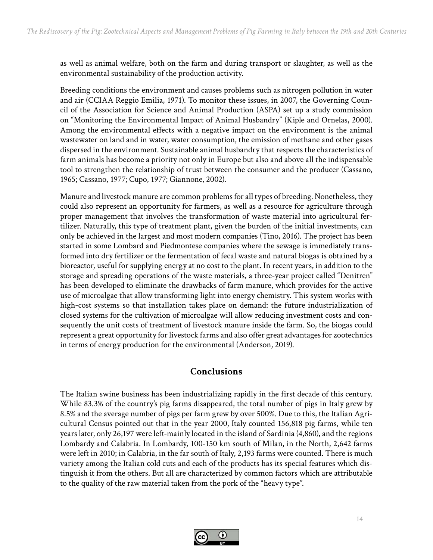as well as animal welfare, both on the farm and during transport or slaughter, as well as the environmental sustainability of the production activity.

Breeding conditions the environment and causes problems such as nitrogen pollution in water and air (CCIAA Reggio Emilia, 1971). To monitor these issues, in 2007, the Governing Council of the Association for Science and Animal Production (ASPA) set up a study commission on "Monitoring the Environmental Impact of Animal Husbandry" (Kiple and Ornelas, 2000). Among the environmental effects with a negative impact on the environment is the animal wastewater on land and in water, water consumption, the emission of methane and other gases dispersed in the environment. Sustainable animal husbandry that respects the characteristics of farm animals has become a priority not only in Europe but also and above all the indispensable tool to strengthen the relationship of trust between the consumer and the producer (Cassano, 1965; Cassano, 1977; Cupo, 1977; Giannone, 2002).

Manure and livestock manure are common problems for all types of breeding. Nonetheless, they could also represent an opportunity for farmers, as well as a resource for agriculture through proper management that involves the transformation of waste material into agricultural fertilizer. Naturally, this type of treatment plant, given the burden of the initial investments, can only be achieved in the largest and most modern companies (Tino, 2016). The project has been started in some Lombard and Piedmontese companies where the sewage is immediately transformed into dry fertilizer or the fermentation of fecal waste and natural biogas is obtained by a bioreactor, useful for supplying energy at no cost to the plant. In recent years, in addition to the storage and spreading operations of the waste materials, a three-year project called "Denitren" has been developed to eliminate the drawbacks of farm manure, which provides for the active use of microalgae that allow transforming light into energy chemistry. This system works with high-cost systems so that installation takes place on demand: the future industrialization of closed systems for the cultivation of microalgae will allow reducing investment costs and consequently the unit costs of treatment of livestock manure inside the farm. So, the biogas could represent a great opportunity for livestock farms and also offer great advantages for zootechnics in terms of energy production for the environmental (Anderson, 2019).

#### **Conclusions**

The Italian swine business has been industrializing rapidly in the first decade of this century. While 83.3% of the country's pig farms disappeared, the total number of pigs in Italy grew by 8.5% and the average number of pigs per farm grew by over 500%. Due to this, the Italian Agricultural Census pointed out that in the year 2000, Italy counted 156,818 pig farms, while ten years later, only 26,197 were left-mainly located in the island of Sardinia (4,860), and the regions Lombardy and Calabria. In Lombardy, 100-150 km south of Milan, in the North, 2,642 farms were left in 2010; in Calabria, in the far south of Italy, 2,193 farms were counted. There is much variety among the Italian cold cuts and each of the products has its special features which distinguish it from the others. But all are characterized by common factors which are attributable to the quality of the raw material taken from the pork of the "heavy type".

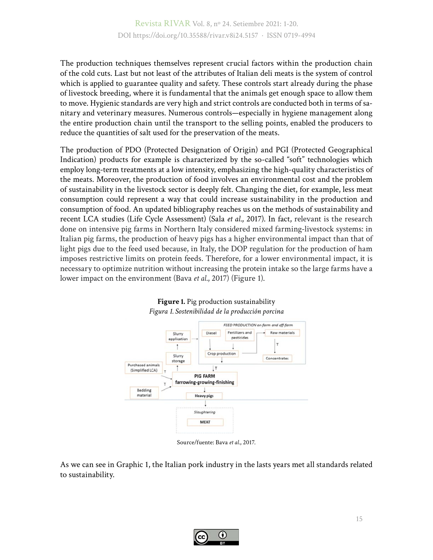The production techniques themselves represent crucial factors within the production chain of the cold cuts. Last but not least of the attributes of Italian deli meats is the system of control which is applied to guarantee quality and safety. These controls start already during the phase of livestock breeding, where it is fundamental that the animals get enough space to allow them to move. Hygienic standards are very high and strict controls are conducted both in terms of sanitary and veterinary measures. Numerous controls—especially in hygiene management along the entire production chain until the transport to the selling points, enabled the producers to reduce the quantities of salt used for the preservation of the meats.

The production of PDO (Protected Designation of Origin) and PGI (Protected Geographical Indication) products for example is characterized by the so-called "soft" technologies which employ long-term treatments at a low intensity, emphasizing the high-quality characteristics of the meats. Moreover, the production of food involves an environmental cost and the problem of sustainability in the livestock sector is deeply felt. Changing the diet, for example, less meat consumption could represent a way that could increase sustainability in the production and consumption of food. An updated bibliography reaches us on the methods of sustainability and recent LCA studies (Life Cycle Assessment) (Sala *et al.*, 2017). In fact, relevant is the research done on intensive pig farms in Northern Italy considered mixed farming-livestock systems: in Italian pig farms, the production of heavy pigs has a higher environmental impact than that of light pigs due to the feed used because, in Italy, the DOP regulation for the production of ham imposes restrictive limits on protein feeds. Therefore, for a lower environmental impact, it is necessary to optimize nutrition without increasing the protein intake so the large farms have a lower impact on the environment (Bava *et al.*, 2017) (Figure 1).



#### **Figure 1.** Pig production sustainability *Figura 1. Sostenibilidad de la producción porcina*

Source/fuente: Bava *et al.*, 2017.

As we can see in Graphic 1, the Italian pork industry in the lasts years met all standards related to sustainability.

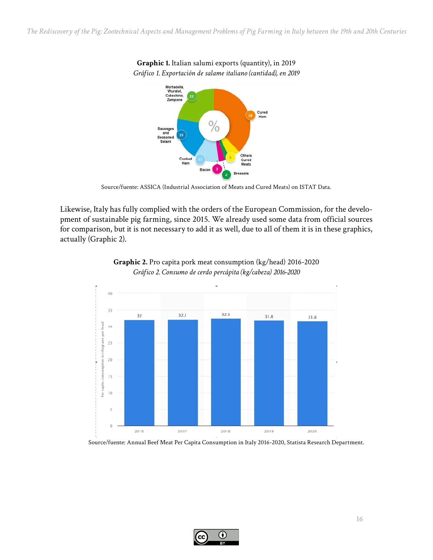*The Rediscovery of the Pig: Zootechnical Aspects and Management Problems of Pig Farming in Italy between the 19th and 20th Centuries*

**Graphic 1.** Italian salumi exports (quantity), in 2019



Source/fuente: ASSICA (Industrial Association of Meats and Cured Meats) on ISTAT Data.

Likewise, Italy has fully complied with the orders of the European Commission, for the development of sustainable pig farming, since 2015. We already used some data from official sources for comparison, but it is not necessary to add it as well, due to all of them it is in these graphics, actually (Graphic 2).





Source/fuente: Annual Beef Meat Per Capita Consumption in Italy 2016-2020, Statista Research Department.

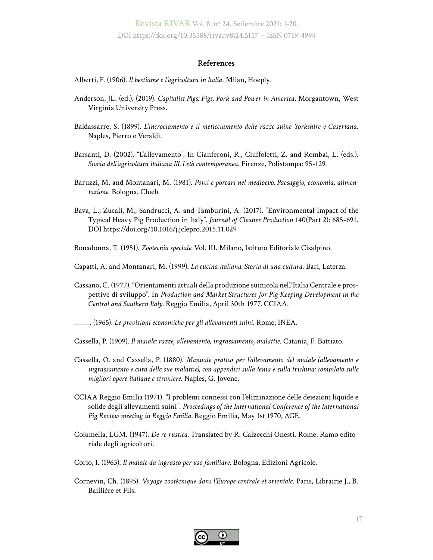Revista RIVAR Vol. 8, nº 24. Setiembre 2021: 1-20. DOI https://doi.org/10.35588/rivar.v8i24.5157 · ISSN 0719-4994

#### **References**

Alberti, F. (1906). *Il bestiame e l'agricoltura in Italia*. Milan, Hoeply.

- Anderson, JL. (ed.). (2019). *Capitalist Pigs: Pigs, Pork and Power in America*. Morgantown, West Virginia University Press.
- Baldassarre, S. (1899). *L'incrociamento e il meticciamento delle razze suine Yorkshire e Casertana*. Naples, Pierro e Veraldi.
- Barsanti, D. (2002). "L'allevamento". In Cianferoni, R., Ciuffoletti, Z. and Rombai, L. (eds.). *Storia dell'agricoltura italiana III. L'età contemporanea*. Firenze, Polistampa: 95-129.
- Baruzzi, M. and Montanari, M. (1981). *Porci e porcari nel medioevo. Paesaggio, economia, alimentazione*. Bologna, Clueb.
- Bava, L.; Zucali, M.; Sandrucci, A. and Tamburini, A. (2017). "Environmental Impact of the Typical Heavy Pig Production in Italy". *Journal of Cleaner Production* 140(Part 2): 685-691. DOI<https://doi.org/10.1016/j.jclepro.2015.11.029>

Bonadonna, T. (1951). *Zootecnia speciale.* Vol. III. Milano, Istituto Editoriale Cisalpino.

- Capatti, A. and Montanari, M. (1999). *La cucina italiana. Storia di una cultura*. Bari, Laterza.
- Cassano, C. (1977). "Orientamenti attuali della produzione suinicola nell'Italia Centrale e prospettive di sviluppo". In *Production and Market Structures for Pig-Keeping Development in the Central and Southern Italy*. Reggio Emilia, April 30th 1977, CCIAA.

\_\_\_\_. (1965). *Le previsioni economiche per gli allevamenti suini*. Rome, INEA.

Cassella, P. (1909). *Il maiale: razze, allevamento, ingrassamento, malattie*. Catania, F. Battiato.

- Cassella, O. and Cassella, P. (1880). *Manuale pratico per l'allevamento del maiale (allevamento e ingrassamento e cura delle sue malattie), con appendici sulla tenia e sulla trichina: compilato sulle migliori opere italiane e straniere*. Naples, G. Jovene.
- CCIAA Reggio Emilia (1971). "I problemi connessi con l'eliminazione delle deiezioni liquide e solide degli allevamenti suini". *Proceedings of the International Conference of the International Pig Review meeting in Reggio Emilia.* Reggio Emilia, May 1st 1970, AGE.
- Columella, LGM. (1947). *De re rustica.* Translated by R. Calzecchi Onesti. Rome, Ramo editoriale degli agricoltori.
- Corio, I. (1963). *Il maiale da ingrasso per uso familiare*. Bologna, Edizioni Agricole.
- Cornevin, Ch. (1895). *Voyage zootècnique dans l'Europe centrale et orientale*. Paris, Librairie J., B. Bailliére et Fils.

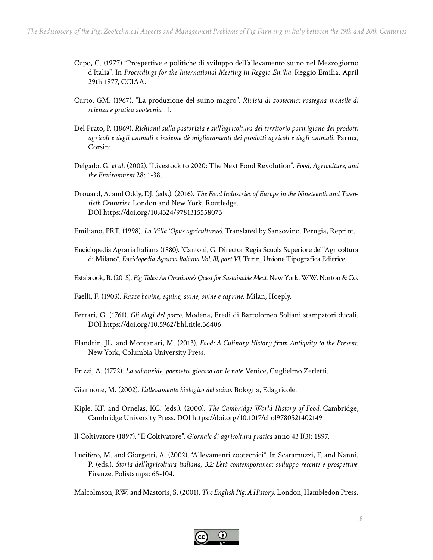- Cupo, C. (1977) "Prospettive e politiche di sviluppo dell'allevamento suino nel Mezzogiorno d'Italia". In *Proceedings for the International Meeting in Reggio Emilia.* Reggio Emilia, April 29th 1977, CCIAA.
- Curto, GM. (1967). "La produzione del suino magro". *Rivista di zootecnia: rassegna mensile di scienza e pratica zootecnia* 11.
- Del Prato, P. (1869). *Richiami sulla pastorizia e sull'agricoltura del territorio parmigiano dei prodotti agricoli e degli animali e insieme dè miglioramenti dei prodotti agricoli e degli animali*. Parma, Corsini.
- Delgado, G. *et al*. (2002). "Livestock to 2020: The Next Food Revolution". *Food, Agriculture, and the Environment* 28: 1-38.
- Drouard, A. and Oddy, DJ. (eds.). (2016). *The Food Industries of Europe in the Nineteenth and Twentieth Centuries*. London and New York, Routledge. DOI<https://doi.org/10.4324/9781315558073>
- Emiliano, PRT. (1998). *La Villa (Opus agriculturae).* Translated by Sansovino. Perugia, Reprint.
- Enciclopedia Agraria Italiana (1880). "Cantoni, G. Director Regia Scuola Superiore dell'Agricoltura di Milano". *Enciclopedia Agraria Italiana Vol. III, part VI*. Turin, Unione Tipografica Editrice.
- Estabrook, B. (2015). *Pig Tales: An Omnivore's Quest for Sustainable Meat*. New York, WW. Norton & Co.
- Faelli, F. (1903). *Razze bovine, equine, suine, ovine e caprine*. Milan, Hoeply.
- Ferrari, G. (1761). *Gli elogi del porco.* Modena, Eredi di Bartolomeo Soliani stampatori ducali. DOI<https://doi.org/10.5962/bhl.title.36406>
- Flandrin, JL. and Montanari, M. (2013). *Food: A Culinary History from Antiquity to the Present*. New York, Columbia University Press.
- Frizzi, A. (1772). *La salameide*, *poemetto giocoso con le note.* Venice, Guglielmo Zerletti.
- Giannone, M. (2002). *L'allevamento biologico del suino*. Bologna, Edagricole.
- [Kiple,](https://www.amazon.com/s/ref=dp_byline_sr_book_1?ie=UTF8&field-author=Kenneth+F.+Kiple&text=Kenneth+F.+Kiple&sort=relevancerank&search-alias=books) KF. and Ornelas, KC. (eds.). (2000). *The Cambridge World History of Food.* Cambridge, Cambridge University Press. DOI<https://doi.org/10.1017/chol9780521402149>
- Il Coltivatore (1897). "Il Coltivatore". *Giornale di agricoltura pratica* anno 43 I(3): 1897.
- Lucifero, M. and Giorgetti, A. (2002). "Allevamenti zootecnici". In Scaramuzzi, F. and Nanni, P. (eds.). *Storia dell'agricoltura italiana, 3.2: L'età contemporanea: sviluppo recente e prospettive.* Firenze, Polistampa: 65-104.

Malcolmson, RW. and Mastoris, S. (2001). *The English Pig: A History*. London, Hambledon Press.

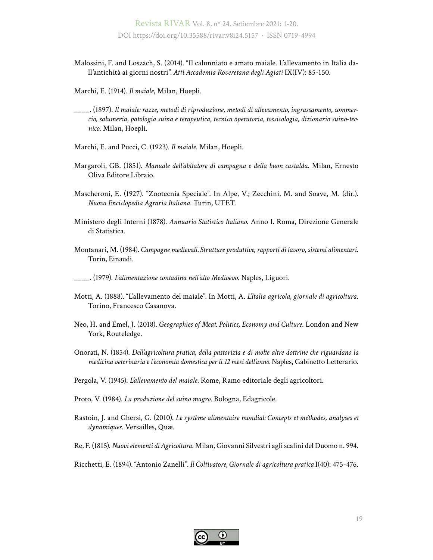- Malossini, F. and Loszach, S. (2014). "Il calunniato e amato maiale. L'allevamento in Italia dall'antichità ai giorni nostri"*. Atti Accademia Roveretana degli Agiati* IX(IV): 85-150.
- Marchi, E. (1914). *Il maiale*, Milan, Hoepli.
- \_\_\_\_. (1897). *Il maiale: razze, metodi di riproduzione, metodi di allevamento, ingrassamento, commercio, salumeria, patologia suina e terapeutica, tecnica operatoria, tossicologia, dizionario suino-tecnico*. Milan, Hoepli.
- Marchi, E. and Pucci, C. (1923). *Il maiale*. Milan, Hoepli.
- Margaroli, GB. (1851). *Manuale dell'abitatore di campagna e della buon castalda*. Milan, Ernesto Oliva Editore Libraio.
- Mascheroni, E. (1927). "Zootecnia Speciale". In Alpe, V.; Zecchini, M. and Soave, M. (dir.). *Nuova Enciclopedia Agraria Italiana*. Turin, UTET.
- Ministero degli Interni (1878). *Annuario Statistico Italiano*. Anno I. Roma, Direzione Generale di Statistica.
- Montanari, M. (1984). *Campagne medievali. Strutture produttive, rapporti di lavoro*, *sistemi alimentari*. Turin, Einaudi.
- \_\_\_\_. (1979). *L'alimentazione contadina nell'alto Medioevo*. Naples, Liguori.
- Motti, A. (1888). "L'allevamento del maiale". In Motti, A. *L'Italia agricola, giornale di agricoltura*. Torino, Francesco Casanova.
- Neo, H. and Emel, J. (2018). *Geographies of Meat. Politics, Economy and Culture*. London and New York, Routeledge.
- Onorati, N. (1854). *Dell'agricoltura pratica, della pastorizia e di molte altre dottrine che riguardano la medicina veterinaria e l'economia domestica per li 12 mesi dell'anno.* Naples, Gabinetto Letterario.
- Pergola, V. (1945). *L'allevamento del maiale*. Rome, Ramo editoriale degli agricoltori.
- Proto, V. (1984). *La produzione del suino magro*. Bologna, Edagricole.
- Rastoin, J. and Ghersi, G. (2010). *Le système alimentaire mondial: Concepts et méthodes, analyses et dynamiques*. Versailles, Quæ.
- Re, F. (1815). *Nuovi elementi di Agricoltura*. Milan, Giovanni Silvestri agli scalini del Duomo n. 994.
- Ricchetti, E. (1894). "Antonio Zanelli". *Il Coltivatore, Giornale di agricoltura pratica* I(40): 475-476.